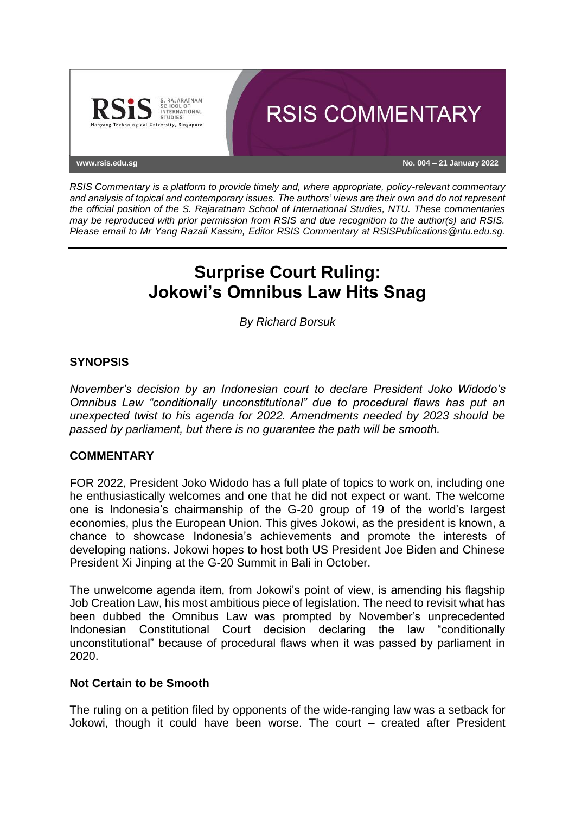

*RSIS Commentary is a platform to provide timely and, where appropriate, policy-relevant commentary and analysis of topical and contemporary issues. The authors' views are their own and do not represent the official position of the S. Rajaratnam School of International Studies, NTU. These commentaries may be reproduced with prior permission from RSIS and due recognition to the author(s) and RSIS. Please email to Mr Yang Razali Kassim, Editor RSIS Commentary at RSISPublications@ntu.edu.sg.*

# **Surprise Court Ruling: Jokowi's Omnibus Law Hits Snag**

*By Richard Borsuk*

# **SYNOPSIS**

*November's decision by an Indonesian court to declare President Joko Widodo's Omnibus Law "conditionally unconstitutional" due to procedural flaws has put an unexpected twist to his agenda for 2022. Amendments needed by 2023 should be passed by parliament, but there is no guarantee the path will be smooth.*

### **COMMENTARY**

FOR 2022, President Joko Widodo has a full plate of topics to work on, including one he enthusiastically welcomes and one that he did not expect or want. The welcome one is Indonesia's chairmanship of the G-20 group of 19 of the world's largest economies, plus the European Union. This gives Jokowi, as the president is known, a chance to showcase Indonesia's achievements and promote the interests of developing nations. Jokowi hopes to host both US President Joe Biden and Chinese President Xi Jinping at the G-20 Summit in Bali in October.

The unwelcome agenda item, from Jokowi's point of view, is amending his flagship Job Creation Law, his most ambitious piece of legislation. The need to revisit what has been dubbed the Omnibus Law was prompted by November's unprecedented Indonesian Constitutional Court decision declaring the law "conditionally unconstitutional" because of procedural flaws when it was passed by parliament in 2020.

### **Not Certain to be Smooth**

The ruling on a petition filed by opponents of the wide-ranging law was a setback for Jokowi, though it could have been worse. The court – created after President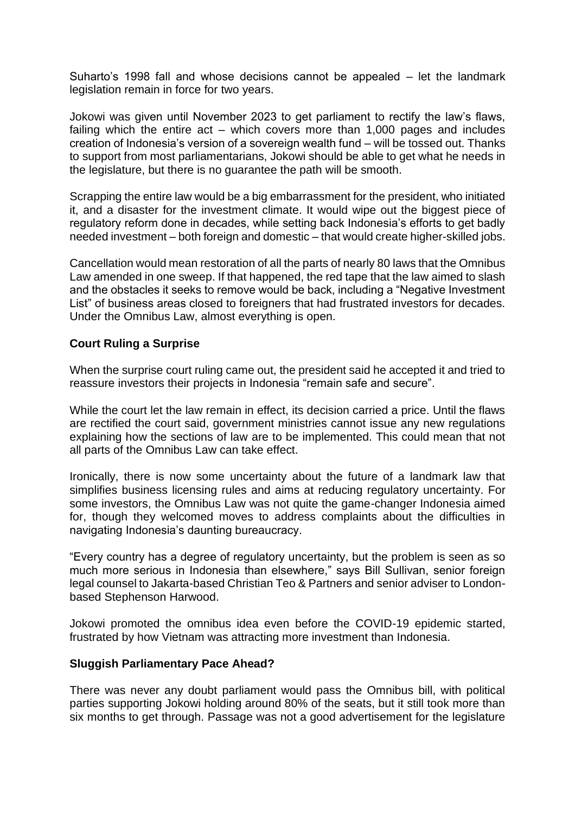Suharto's 1998 fall and whose decisions cannot be appealed – let the landmark legislation remain in force for two years.

Jokowi was given until November 2023 to get parliament to rectify the law's flaws, failing which the entire act – which covers more than 1,000 pages and includes creation of Indonesia's version of a sovereign wealth fund – will be tossed out. Thanks to support from most parliamentarians, Jokowi should be able to get what he needs in the legislature, but there is no guarantee the path will be smooth.

Scrapping the entire law would be a big embarrassment for the president, who initiated it, and a disaster for the investment climate. It would wipe out the biggest piece of regulatory reform done in decades, while setting back Indonesia's efforts to get badly needed investment – both foreign and domestic – that would create higher-skilled jobs.

Cancellation would mean restoration of all the parts of nearly 80 laws that the Omnibus Law amended in one sweep. If that happened, the red tape that the law aimed to slash and the obstacles it seeks to remove would be back, including a "Negative Investment List" of business areas closed to foreigners that had frustrated investors for decades. Under the Omnibus Law, almost everything is open.

# **Court Ruling a Surprise**

When the surprise court ruling came out, the president said he accepted it and tried to reassure investors their projects in Indonesia "remain safe and secure".

While the court let the law remain in effect, its decision carried a price. Until the flaws are rectified the court said, government ministries cannot issue any new regulations explaining how the sections of law are to be implemented. This could mean that not all parts of the Omnibus Law can take effect.

Ironically, there is now some uncertainty about the future of a landmark law that simplifies business licensing rules and aims at reducing regulatory uncertainty. For some investors, the Omnibus Law was not quite the game-changer Indonesia aimed for, though they welcomed moves to address complaints about the difficulties in navigating Indonesia's daunting bureaucracy.

"Every country has a degree of regulatory uncertainty, but the problem is seen as so much more serious in Indonesia than elsewhere," says Bill Sullivan, senior foreign legal counsel to Jakarta-based Christian Teo & Partners and senior adviser to Londonbased Stephenson Harwood.

Jokowi promoted the omnibus idea even before the COVID-19 epidemic started, frustrated by how Vietnam was attracting more investment than Indonesia.

### **Sluggish Parliamentary Pace Ahead?**

There was never any doubt parliament would pass the Omnibus bill, with political parties supporting Jokowi holding around 80% of the seats, but it still took more than six months to get through. Passage was not a good advertisement for the legislature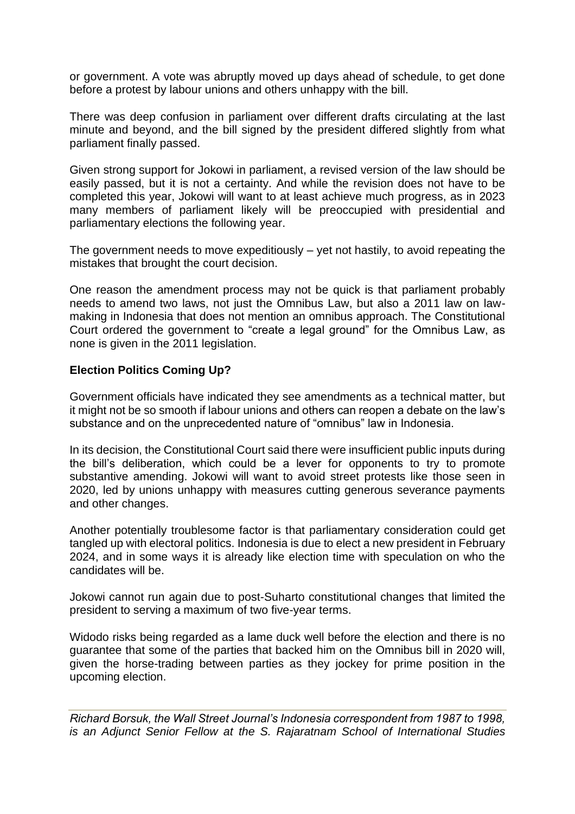or government. A vote was abruptly moved up days ahead of schedule, to get done before a protest by labour unions and others unhappy with the bill.

There was deep confusion in parliament over different drafts circulating at the last minute and beyond, and the bill signed by the president differed slightly from what parliament finally passed.

Given strong support for Jokowi in parliament, a revised version of the law should be easily passed, but it is not a certainty. And while the revision does not have to be completed this year, Jokowi will want to at least achieve much progress, as in 2023 many members of parliament likely will be preoccupied with presidential and parliamentary elections the following year.

The government needs to move expeditiously – yet not hastily, to avoid repeating the mistakes that brought the court decision.

One reason the amendment process may not be quick is that parliament probably needs to amend two laws, not just the Omnibus Law, but also a 2011 law on lawmaking in Indonesia that does not mention an omnibus approach. The Constitutional Court ordered the government to "create a legal ground" for the Omnibus Law, as none is given in the 2011 legislation.

### **Election Politics Coming Up?**

Government officials have indicated they see amendments as a technical matter, but it might not be so smooth if labour unions and others can reopen a debate on the law's substance and on the unprecedented nature of "omnibus" law in Indonesia.

In its decision, the Constitutional Court said there were insufficient public inputs during the bill's deliberation, which could be a lever for opponents to try to promote substantive amending. Jokowi will want to avoid street protests like those seen in 2020, led by unions unhappy with measures cutting generous severance payments and other changes.

Another potentially troublesome factor is that parliamentary consideration could get tangled up with electoral politics. Indonesia is due to elect a new president in February 2024, and in some ways it is already like election time with speculation on who the candidates will be.

Jokowi cannot run again due to post-Suharto constitutional changes that limited the president to serving a maximum of two five-year terms.

Widodo risks being regarded as a lame duck well before the election and there is no guarantee that some of the parties that backed him on the Omnibus bill in 2020 will, given the horse-trading between parties as they jockey for prime position in the upcoming election.

*Richard Borsuk, the Wall Street Journal's Indonesia correspondent from 1987 to 1998, is an Adjunct Senior Fellow at the S. Rajaratnam School of International Studies*